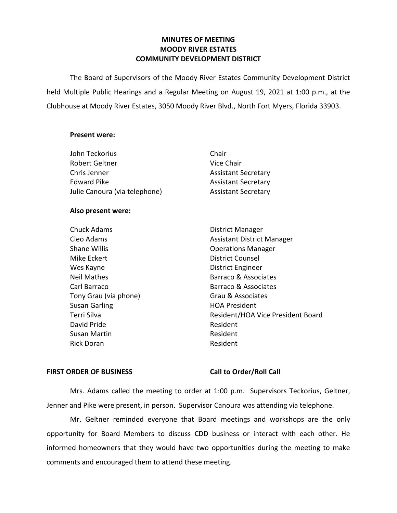# **MINUTES OF MEETING MOODY RIVER ESTATES COMMUNITY DEVELOPMENT DISTRICT**

The Board of Supervisors of the Moody River Estates Community Development District held Multiple Public Hearings and a Regular Meeting on August 19, 2021 at 1:00 p.m., at the Clubhouse at Moody River Estates, 3050 Moody River Blvd., North Fort Myers, Florida 33903.

### **Present were:**

| John Teckorius                | Chair                      |
|-------------------------------|----------------------------|
| Robert Geltner                | Vice Chair                 |
| Chris Jenner                  | <b>Assistant Secretary</b> |
| <b>Edward Pike</b>            | <b>Assistant Secretary</b> |
| Julie Canoura (via telephone) | <b>Assistant Secretary</b> |

### **Also present were:**

| <b>Chuck Adams</b>    | District Manager          |
|-----------------------|---------------------------|
| Cleo Adams            | <b>Assistant District</b> |
| <b>Shane Willis</b>   | <b>Operations Mana</b>    |
| Mike Eckert           | District Counsel          |
| Wes Kayne             | District Engineer         |
| <b>Neil Mathes</b>    | Barraco & Associa         |
| Carl Barraco          | Barraco & Associa         |
| Tony Grau (via phone) | Grau & Associate          |
| <b>Susan Garling</b>  | <b>HOA President</b>      |
| Terri Silva           | Resident/HOA Vio          |
| David Pride           | Resident                  |
| <b>Susan Martin</b>   | Resident                  |
| <b>Rick Doran</b>     | Resident                  |
|                       |                           |

Assistant District Manager **Operations Manager** District Counsel District Engineer Barraco & Associates Barraco & Associates Grau & Associates HOA President Resident/HOA Vice President Board Resident Resident

## **FIRST ORDER OF BUSINESS Call to Order/Roll Call**

Mrs. Adams called the meeting to order at 1:00 p.m. Supervisors Teckorius, Geltner, Jenner and Pike were present, in person. Supervisor Canoura was attending via telephone.

Mr. Geltner reminded everyone that Board meetings and workshops are the only opportunity for Board Members to discuss CDD business or interact with each other. He informed homeowners that they would have two opportunities during the meeting to make comments and encouraged them to attend these meeting.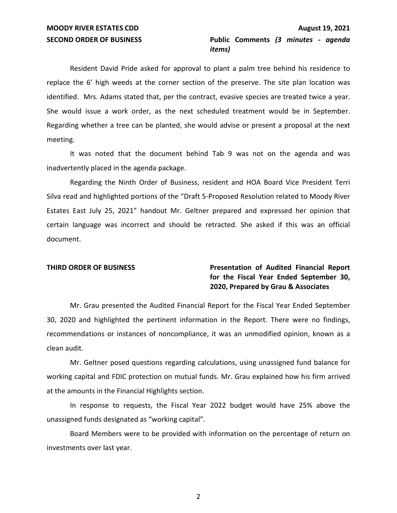# **SECOND ORDER OF BUSINESS Public Comments** *(3 minutes - agenda items)*

Resident David Pride asked for approval to plant a palm tree behind his residence to replace the 6' high weeds at the corner section of the preserve. The site plan location was identified. Mrs. Adams stated that, per the contract, evasive species are treated twice a year. She would issue a work order, as the next scheduled treatment would be in September. Regarding whether a tree can be planted, she would advise or present a proposal at the next meeting.

It was noted that the document behind Tab 9 was not on the agenda and was inadvertently placed in the agenda package.

Regarding the Ninth Order of Business, resident and HOA Board Vice President Terri Silva read and highlighted portions of the "Draft 5-Proposed Resolution related to Moody River Estates East July 25, 2021" handout Mr. Geltner prepared and expressed her opinion that certain language was incorrect and should be retracted. She asked if this was an official document.

# **THIRD ORDER OF BUSINESS Presentation of Audited Financial Report for the Fiscal Year Ended September 30, 2020, Prepared by Grau & Associates**

Mr. Grau presented the Audited Financial Report for the Fiscal Year Ended September 30, 2020 and highlighted the pertinent information in the Report. There were no findings, recommendations or instances of noncompliance, it was an unmodified opinion, known as a clean audit.

Mr. Geltner posed questions regarding calculations, using unassigned fund balance for working capital and FDIC protection on mutual funds. Mr. Grau explained how his firm arrived at the amounts in the Financial Highlights section.

In response to requests, the Fiscal Year 2022 budget would have 25% above the unassigned funds designated as "working capital".

Board Members were to be provided with information on the percentage of return on investments over last year.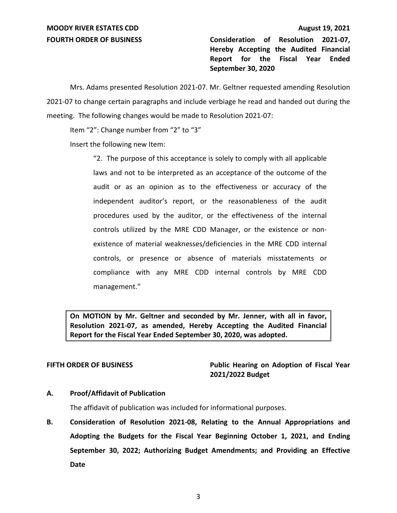**FOURTH ORDER OF BUSINESS Consideration of Resolution 2021-07, Hereby Accepting the Audited Financial Report for the Fiscal Year Ended September 30, 2020**

Mrs. Adams presented Resolution 2021-07. Mr. Geltner requested amending Resolution 2021-07 to change certain paragraphs and include verbiage he read and handed out during the meeting. The following changes would be made to Resolution 2021-07:

Item "2": Change number from "2" to "3"

Insert the following new Item:

"2. The purpose of this acceptance is solely to comply with all applicable laws and not to be interpreted as an acceptance of the outcome of the audit or as an opinion as to the effectiveness or accuracy of the independent auditor's report, or the reasonableness of the audit procedures used by the auditor, or the effectiveness of the internal controls utilized by the MRE CDD Manager, or the existence or nonexistence of material weaknesses/deficiencies in the MRE CDD internal controls, or presence or absence of materials misstatements or compliance with any MRE CDD internal controls by MRE CDD management."

**On MOTION by Mr. Geltner and seconded by Mr. Jenner, with all in favor, Resolution 2021-07, as amended, Hereby Accepting the Audited Financial Report for the Fiscal Year Ended September 30, 2020, was adopted.**

**FIFTH ORDER OF BUSINESS Public Hearing on Adoption of Fiscal Year 2021/2022 Budget**

# **A. Proof/Affidavit of Publication**

The affidavit of publication was included for informational purposes.

**B. Consideration of Resolution 2021-08, Relating to the Annual Appropriations and Adopting the Budgets for the Fiscal Year Beginning October 1, 2021, and Ending September 30, 2022; Authorizing Budget Amendments; and Providing an Effective Date**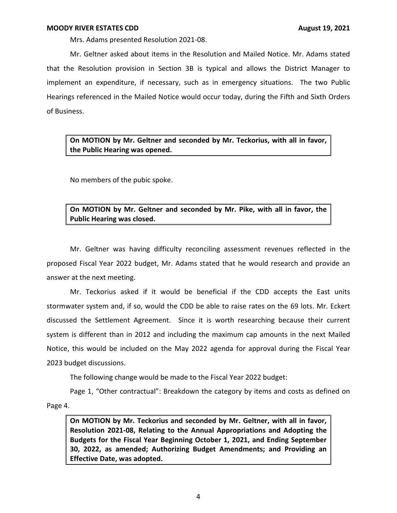Mrs. Adams presented Resolution 2021-08.

Mr. Geltner asked about items in the Resolution and Mailed Notice. Mr. Adams stated that the Resolution provision in Section 3B is typical and allows the District Manager to implement an expenditure, if necessary, such as in emergency situations. The two Public Hearings referenced in the Mailed Notice would occur today, during the Fifth and Sixth Orders of Business.

**On MOTION by Mr. Geltner and seconded by Mr. Teckorius, with all in favor, the Public Hearing was opened.** 

No members of the pubic spoke.

**On MOTION by Mr. Geltner and seconded by Mr. Pike, with all in favor, the Public Hearing was closed.**

Mr. Geltner was having difficulty reconciling assessment revenues reflected in the proposed Fiscal Year 2022 budget, Mr. Adams stated that he would research and provide an answer at the next meeting.

Mr. Teckorius asked if it would be beneficial if the CDD accepts the East units stormwater system and, if so, would the CDD be able to raise rates on the 69 lots. Mr. Eckert discussed the Settlement Agreement. Since it is worth researching because their current system is different than in 2012 and including the maximum cap amounts in the next Mailed Notice, this would be included on the May 2022 agenda for approval during the Fiscal Year 2023 budget discussions.

The following change would be made to the Fiscal Year 2022 budget:

Page 1, "Other contractual": Breakdown the category by items and costs as defined on Page 4.

**On MOTION by Mr. Teckorius and seconded by Mr. Geltner, with all in favor, Resolution 2021-08, Relating to the Annual Appropriations and Adopting the Budgets for the Fiscal Year Beginning October 1, 2021, and Ending September 30, 2022, as amended; Authorizing Budget Amendments; and Providing an Effective Date, was adopted.**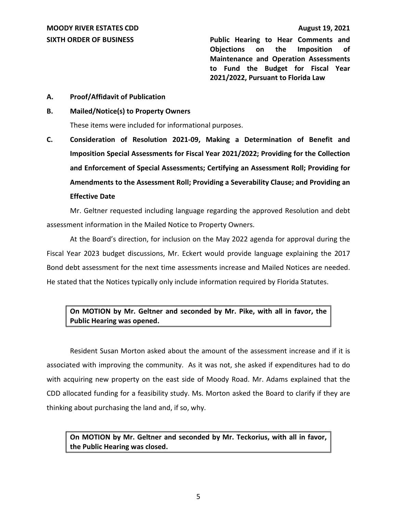**SIXTH ORDER OF BUSINESS Public Hearing to Hear Comments and Objections on the Imposition of Maintenance and Operation Assessments to Fund the Budget for Fiscal Year 2021/2022, Pursuant to Florida Law**

**A. Proof/Affidavit of Publication**

## **B. Mailed/Notice(s) to Property Owners**

These items were included for informational purposes.

**C. Consideration of Resolution 2021-09, Making a Determination of Benefit and Imposition Special Assessments for Fiscal Year 2021/2022; Providing for the Collection and Enforcement of Special Assessments; Certifying an Assessment Roll; Providing for Amendments to the Assessment Roll; Providing a Severability Clause; and Providing an Effective Date**

Mr. Geltner requested including language regarding the approved Resolution and debt assessment information in the Mailed Notice to Property Owners.

At the Board's direction, for inclusion on the May 2022 agenda for approval during the Fiscal Year 2023 budget discussions, Mr. Eckert would provide language explaining the 2017 Bond debt assessment for the next time assessments increase and Mailed Notices are needed. He stated that the Notices typically only include information required by Florida Statutes.

# **On MOTION by Mr. Geltner and seconded by Mr. Pike, with all in favor, the Public Hearing was opened.**

Resident Susan Morton asked about the amount of the assessment increase and if it is associated with improving the community. As it was not, she asked if expenditures had to do with acquiring new property on the east side of Moody Road. Mr. Adams explained that the CDD allocated funding for a feasibility study. Ms. Morton asked the Board to clarify if they are thinking about purchasing the land and, if so, why.

**On MOTION by Mr. Geltner and seconded by Mr. Teckorius, with all in favor, the Public Hearing was closed.**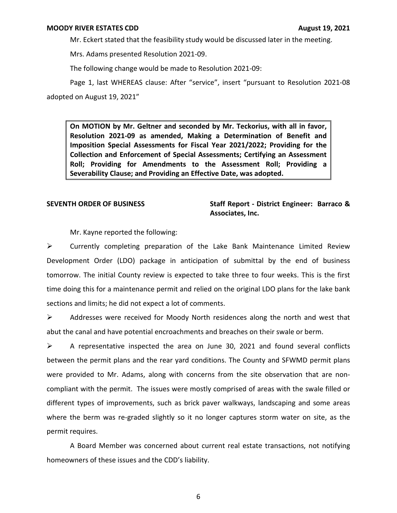Mr. Eckert stated that the feasibility study would be discussed later in the meeting.

Mrs. Adams presented Resolution 2021-09.

The following change would be made to Resolution 2021-09:

Page 1, last WHEREAS clause: After "service", insert "pursuant to Resolution 2021-08 adopted on August 19, 2021"

**On MOTION by Mr. Geltner and seconded by Mr. Teckorius, with all in favor, Resolution 2021-09 as amended, Making a Determination of Benefit and Imposition Special Assessments for Fiscal Year 2021/2022; Providing for the Collection and Enforcement of Special Assessments; Certifying an Assessment Roll; Providing for Amendments to the Assessment Roll; Providing a Severability Clause; and Providing an Effective Date, was adopted.**

# **SEVENTH ORDER OF BUSINESS Staff Report - District Engineer: Barraco & Associates, Inc.**

Mr. Kayne reported the following:

 $\triangleright$  Currently completing preparation of the Lake Bank Maintenance Limited Review Development Order (LDO) package in anticipation of submittal by the end of business tomorrow. The initial County review is expected to take three to four weeks. This is the first time doing this for a maintenance permit and relied on the original LDO plans for the lake bank sections and limits; he did not expect a lot of comments.

 $\triangleright$  Addresses were received for Moody North residences along the north and west that abut the canal and have potential encroachments and breaches on their swale or berm.

 $\triangleright$  A representative inspected the area on June 30, 2021 and found several conflicts between the permit plans and the rear yard conditions. The County and SFWMD permit plans were provided to Mr. Adams, along with concerns from the site observation that are noncompliant with the permit. The issues were mostly comprised of areas with the swale filled or different types of improvements, such as brick paver walkways, landscaping and some areas where the berm was re-graded slightly so it no longer captures storm water on site, as the permit requires.

A Board Member was concerned about current real estate transactions, not notifying homeowners of these issues and the CDD's liability.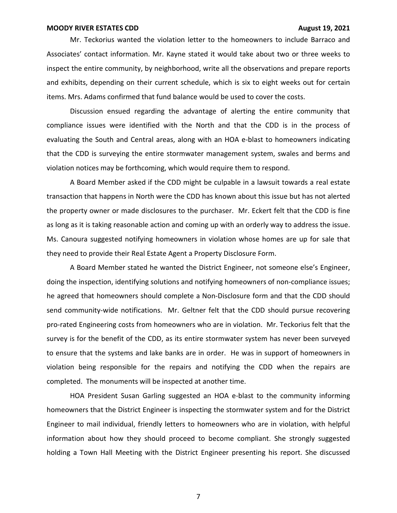Mr. Teckorius wanted the violation letter to the homeowners to include Barraco and Associates' contact information. Mr. Kayne stated it would take about two or three weeks to inspect the entire community, by neighborhood, write all the observations and prepare reports and exhibits, depending on their current schedule, which is six to eight weeks out for certain items. Mrs. Adams confirmed that fund balance would be used to cover the costs.

Discussion ensued regarding the advantage of alerting the entire community that compliance issues were identified with the North and that the CDD is in the process of evaluating the South and Central areas, along with an HOA e-blast to homeowners indicating that the CDD is surveying the entire stormwater management system, swales and berms and violation notices may be forthcoming, which would require them to respond.

A Board Member asked if the CDD might be culpable in a lawsuit towards a real estate transaction that happens in North were the CDD has known about this issue but has not alerted the property owner or made disclosures to the purchaser. Mr. Eckert felt that the CDD is fine as long as it is taking reasonable action and coming up with an orderly way to address the issue. Ms. Canoura suggested notifying homeowners in violation whose homes are up for sale that they need to provide their Real Estate Agent a Property Disclosure Form.

A Board Member stated he wanted the District Engineer, not someone else's Engineer, doing the inspection, identifying solutions and notifying homeowners of non-compliance issues; he agreed that homeowners should complete a Non-Disclosure form and that the CDD should send community-wide notifications. Mr. Geltner felt that the CDD should pursue recovering pro-rated Engineering costs from homeowners who are in violation. Mr. Teckorius felt that the survey is for the benefit of the CDD, as its entire stormwater system has never been surveyed to ensure that the systems and lake banks are in order. He was in support of homeowners in violation being responsible for the repairs and notifying the CDD when the repairs are completed. The monuments will be inspected at another time.

HOA President Susan Garling suggested an HOA e-blast to the community informing homeowners that the District Engineer is inspecting the stormwater system and for the District Engineer to mail individual, friendly letters to homeowners who are in violation, with helpful information about how they should proceed to become compliant. She strongly suggested holding a Town Hall Meeting with the District Engineer presenting his report. She discussed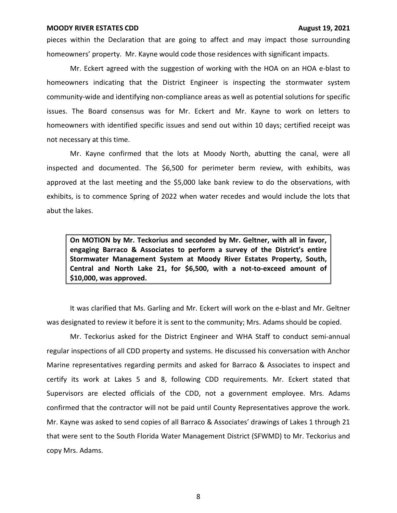pieces within the Declaration that are going to affect and may impact those surrounding homeowners' property. Mr. Kayne would code those residences with significant impacts.

Mr. Eckert agreed with the suggestion of working with the HOA on an HOA e-blast to homeowners indicating that the District Engineer is inspecting the stormwater system community-wide and identifying non-compliance areas as well as potential solutions for specific issues. The Board consensus was for Mr. Eckert and Mr. Kayne to work on letters to homeowners with identified specific issues and send out within 10 days; certified receipt was not necessary at this time.

Mr. Kayne confirmed that the lots at Moody North, abutting the canal, were all inspected and documented. The \$6,500 for perimeter berm review, with exhibits, was approved at the last meeting and the \$5,000 lake bank review to do the observations, with exhibits, is to commence Spring of 2022 when water recedes and would include the lots that abut the lakes.

**On MOTION by Mr. Teckorius and seconded by Mr. Geltner, with all in favor, engaging Barraco & Associates to perform a survey of the District's entire Stormwater Management System at Moody River Estates Property, South, Central and North Lake 21, for \$6,500, with a not-to-exceed amount of \$10,000, was approved.**

It was clarified that Ms. Garling and Mr. Eckert will work on the e-blast and Mr. Geltner was designated to review it before it is sent to the community; Mrs. Adams should be copied.

Mr. Teckorius asked for the District Engineer and WHA Staff to conduct semi-annual regular inspections of all CDD property and systems. He discussed his conversation with Anchor Marine representatives regarding permits and asked for Barraco & Associates to inspect and certify its work at Lakes 5 and 8, following CDD requirements. Mr. Eckert stated that Supervisors are elected officials of the CDD, not a government employee. Mrs. Adams confirmed that the contractor will not be paid until County Representatives approve the work. Mr. Kayne was asked to send copies of all Barraco & Associates' drawings of Lakes 1 through 21 that were sent to the South Florida Water Management District (SFWMD) to Mr. Teckorius and copy Mrs. Adams.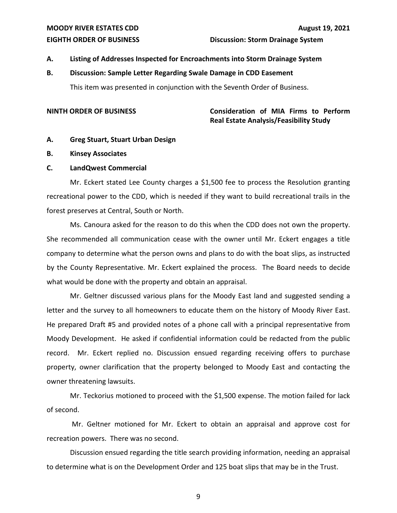# **EIGHTH ORDER OF BUSINESS Discussion: Storm Drainage System**

# **A. Listing of Addresses Inspected for Encroachments into Storm Drainage System**

# **B. Discussion: Sample Letter Regarding Swale Damage in CDD Easement**

This item was presented in conjunction with the Seventh Order of Business.

# **NINTH ORDER OF BUSINESS Consideration of MIA Firms to Perform Real Estate Analysis/Feasibility Study**

## **A. Greg Stuart, Stuart Urban Design**

## **B. Kinsey Associates**

## **C. LandQwest Commercial**

Mr. Eckert stated Lee County charges a \$1,500 fee to process the Resolution granting recreational power to the CDD, which is needed if they want to build recreational trails in the forest preserves at Central, South or North.

Ms. Canoura asked for the reason to do this when the CDD does not own the property. She recommended all communication cease with the owner until Mr. Eckert engages a title company to determine what the person owns and plans to do with the boat slips, as instructed by the County Representative. Mr. Eckert explained the process. The Board needs to decide what would be done with the property and obtain an appraisal.

Mr. Geltner discussed various plans for the Moody East land and suggested sending a letter and the survey to all homeowners to educate them on the history of Moody River East. He prepared Draft #5 and provided notes of a phone call with a principal representative from Moody Development. He asked if confidential information could be redacted from the public record. Mr. Eckert replied no. Discussion ensued regarding receiving offers to purchase property, owner clarification that the property belonged to Moody East and contacting the owner threatening lawsuits.

Mr. Teckorius motioned to proceed with the \$1,500 expense. The motion failed for lack of second.

Mr. Geltner motioned for Mr. Eckert to obtain an appraisal and approve cost for recreation powers. There was no second.

Discussion ensued regarding the title search providing information, needing an appraisal to determine what is on the Development Order and 125 boat slips that may be in the Trust.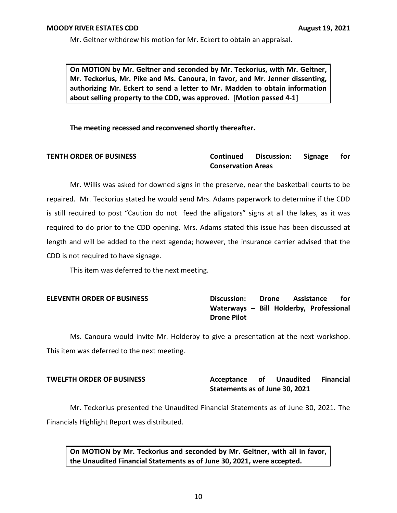Mr. Geltner withdrew his motion for Mr. Eckert to obtain an appraisal.

**On MOTION by Mr. Geltner and seconded by Mr. Teckorius, with Mr. Geltner, Mr. Teckorius, Mr. Pike and Ms. Canoura, in favor, and Mr. Jenner dissenting, authorizing Mr. Eckert to send a letter to Mr. Madden to obtain information about selling property to the CDD, was approved. [Motion passed 4-1]**

**The meeting recessed and reconvened shortly thereafter.** 

# **TENTH ORDER OF BUSINESS Continued Discussion: Signage for Conservation Areas**

Mr. Willis was asked for downed signs in the preserve, near the basketball courts to be repaired. Mr. Teckorius stated he would send Mrs. Adams paperwork to determine if the CDD is still required to post "Caution do not feed the alligators" signs at all the lakes, as it was required to do prior to the CDD opening. Mrs. Adams stated this issue has been discussed at length and will be added to the next agenda; however, the insurance carrier advised that the CDD is not required to have signage.

This item was deferred to the next meeting.

# **ELEVENTH ORDER OF BUSINESS Discussion: Drone Assistance for Waterways – Bill Holderby, Professional Drone Pilot**

Ms. Canoura would invite Mr. Holderby to give a presentation at the next workshop. This item was deferred to the next meeting.

# **TWELFTH ORDER OF BUSINESS Acceptance of Unaudited Financial Statements as of June 30, 2021**

Mr. Teckorius presented the Unaudited Financial Statements as of June 30, 2021. The Financials Highlight Report was distributed.

**On MOTION by Mr. Teckorius and seconded by Mr. Geltner, with all in favor, the Unaudited Financial Statements as of June 30, 2021, were accepted.**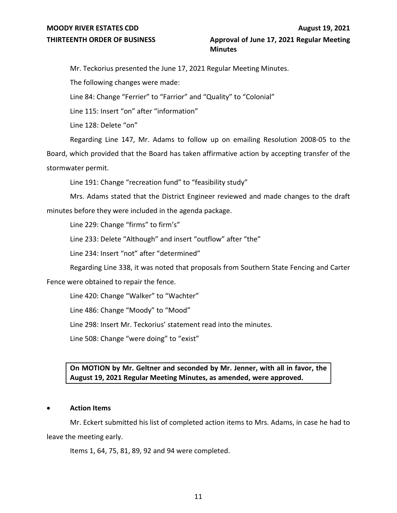# **THIRTEENTH ORDER OF BUSINESS Approval of June 17, 2021 Regular Meeting Minutes**

Mr. Teckorius presented the June 17, 2021 Regular Meeting Minutes.

The following changes were made:

Line 84: Change "Ferrier" to "Farrior" and "Quality" to "Colonial"

Line 115: Insert "on" after "information"

Line 128: Delete "on"

Regarding Line 147, Mr. Adams to follow up on emailing Resolution 2008-05 to the Board, which provided that the Board has taken affirmative action by accepting transfer of the stormwater permit.

Line 191: Change "recreation fund" to "feasibility study"

Mrs. Adams stated that the District Engineer reviewed and made changes to the draft minutes before they were included in the agenda package.

Line 229: Change "firms" to firm's"

Line 233: Delete "Although" and insert "outflow" after "the"

Line 234: Insert "not" after "determined"

Regarding Line 338, it was noted that proposals from Southern State Fencing and Carter

Fence were obtained to repair the fence.

Line 420: Change "Walker" to "Wachter"

Line 486: Change "Moody" to "Mood"

Line 298: Insert Mr. Teckorius' statement read into the minutes.

Line 508: Change "were doing" to "exist"

# **On MOTION by Mr. Geltner and seconded by Mr. Jenner, with all in favor, the August 19, 2021 Regular Meeting Minutes, as amended, were approved.**

## • **Action Items**

Mr. Eckert submitted his list of completed action items to Mrs. Adams, in case he had to leave the meeting early.

Items 1, 64, 75, 81, 89, 92 and 94 were completed.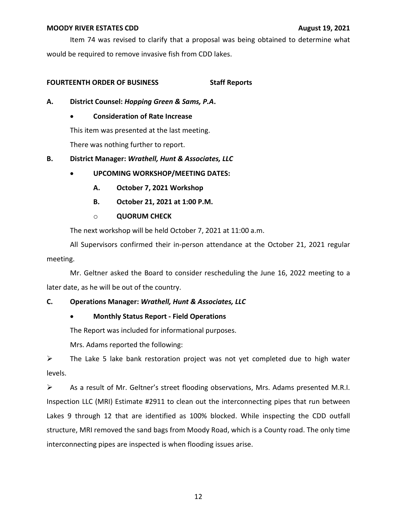Item 74 was revised to clarify that a proposal was being obtained to determine what would be required to remove invasive fish from CDD lakes.

# **FOURTEENTH ORDER OF BUSINESS Staff Reports**

- **A. District Counsel:** *Hopping Green & Sams, P.A***.**
	- **Consideration of Rate Increase**

This item was presented at the last meeting.

There was nothing further to report.

# **B. District Manager:** *Wrathell, Hunt & Associates, LLC*

- **UPCOMING WORKSHOP/MEETING DATES:** 
	- **A. October 7, 2021 Workshop**
	- **B. October 21, 2021 at 1:00 P.M.**
	- o **QUORUM CHECK**

The next workshop will be held October 7, 2021 at 11:00 a.m.

All Supervisors confirmed their in-person attendance at the October 21, 2021 regular meeting.

Mr. Geltner asked the Board to consider rescheduling the June 16, 2022 meeting to a later date, as he will be out of the country.

# **C. Operations Manager:** *Wrathell, Hunt & Associates, LLC*

# • **Monthly Status Report - Field Operations**

The Report was included for informational purposes.

Mrs. Adams reported the following:

 $\triangleright$  The Lake 5 lake bank restoration project was not yet completed due to high water levels.

 $\triangleright$  As a result of Mr. Geltner's street flooding observations, Mrs. Adams presented M.R.I. Inspection LLC (MRI) Estimate #2911 to clean out the interconnecting pipes that run between Lakes 9 through 12 that are identified as 100% blocked. While inspecting the CDD outfall structure, MRI removed the sand bags from Moody Road, which is a County road. The only time interconnecting pipes are inspected is when flooding issues arise.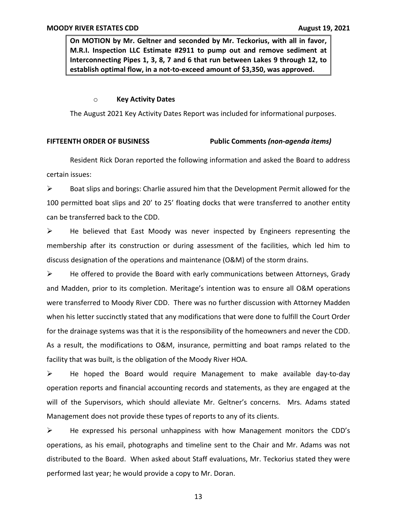**On MOTION by Mr. Geltner and seconded by Mr. Teckorius, with all in favor, M.R.I. Inspection LLC Estimate #2911 to pump out and remove sediment at Interconnecting Pipes 1, 3, 8, 7 and 6 that run between Lakes 9 through 12, to establish optimal flow, in a not-to-exceed amount of \$3,350, was approved.**

### o **Key Activity Dates**

The August 2021 Key Activity Dates Report was included for informational purposes.

## **FIFTEENTH ORDER OF BUSINESS Public Comments** *(non-agenda items)*

Resident Rick Doran reported the following information and asked the Board to address certain issues:

 $\triangleright$  Boat slips and borings: Charlie assured him that the Development Permit allowed for the 100 permitted boat slips and 20' to 25' floating docks that were transferred to another entity can be transferred back to the CDD.

 $\triangleright$  He believed that East Moody was never inspected by Engineers representing the membership after its construction or during assessment of the facilities, which led him to discuss designation of the operations and maintenance (O&M) of the storm drains.

 $\triangleright$  He offered to provide the Board with early communications between Attorneys, Grady and Madden, prior to its completion. Meritage's intention was to ensure all O&M operations were transferred to Moody River CDD. There was no further discussion with Attorney Madden when his letter succinctly stated that any modifications that were done to fulfill the Court Order for the drainage systems was that it is the responsibility of the homeowners and never the CDD. As a result, the modifications to O&M, insurance, permitting and boat ramps related to the facility that was built, is the obligation of the Moody River HOA.

 $\triangleright$  He hoped the Board would require Management to make available day-to-day operation reports and financial accounting records and statements, as they are engaged at the will of the Supervisors, which should alleviate Mr. Geltner's concerns. Mrs. Adams stated Management does not provide these types of reports to any of its clients.

 $\triangleright$  He expressed his personal unhappiness with how Management monitors the CDD's operations, as his email, photographs and timeline sent to the Chair and Mr. Adams was not distributed to the Board. When asked about Staff evaluations, Mr. Teckorius stated they were performed last year; he would provide a copy to Mr. Doran.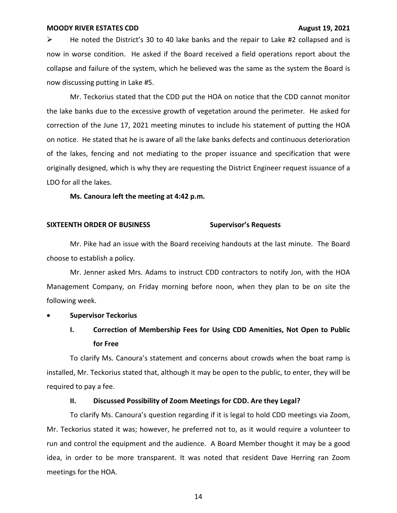$\triangleright$  He noted the District's 30 to 40 lake banks and the repair to Lake #2 collapsed and is now in worse condition. He asked if the Board received a field operations report about the collapse and failure of the system, which he believed was the same as the system the Board is now discussing putting in Lake #5.

Mr. Teckorius stated that the CDD put the HOA on notice that the CDD cannot monitor the lake banks due to the excessive growth of vegetation around the perimeter. He asked for correction of the June 17, 2021 meeting minutes to include his statement of putting the HOA on notice. He stated that he is aware of all the lake banks defects and continuous deterioration of the lakes, fencing and not mediating to the proper issuance and specification that were originally designed, which is why they are requesting the District Engineer request issuance of a LDO for all the lakes.

**Ms. Canoura left the meeting at 4:42 p.m.**

## **SIXTEENTH ORDER OF BUSINESS Supervisor's Requests**

Mr. Pike had an issue with the Board receiving handouts at the last minute. The Board choose to establish a policy.

Mr. Jenner asked Mrs. Adams to instruct CDD contractors to notify Jon, with the HOA Management Company, on Friday morning before noon, when they plan to be on site the following week.

### • **Supervisor Teckorius**

# **I. Correction of Membership Fees for Using CDD Amenities, Not Open to Public for Free**

To clarify Ms. Canoura's statement and concerns about crowds when the boat ramp is installed, Mr. Teckorius stated that, although it may be open to the public, to enter, they will be required to pay a fee.

### **II. Discussed Possibility of Zoom Meetings for CDD. Are they Legal?**

To clarify Ms. Canoura's question regarding if it is legal to hold CDD meetings via Zoom, Mr. Teckorius stated it was; however, he preferred not to, as it would require a volunteer to run and control the equipment and the audience. A Board Member thought it may be a good idea, in order to be more transparent. It was noted that resident Dave Herring ran Zoom meetings for the HOA.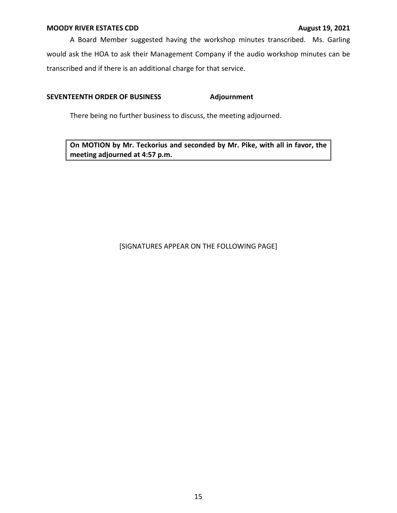A Board Member suggested having the workshop minutes transcribed. Ms. Garling would ask the HOA to ask their Management Company if the audio workshop minutes can be transcribed and if there is an additional charge for that service.

# **SEVENTEENTH ORDER OF BUSINESS Adjournment**

There being no further business to discuss, the meeting adjourned.

**On MOTION by Mr. Teckorius and seconded by Mr. Pike, with all in favor, the meeting adjourned at 4:57 p.m.** 

# [SIGNATURES APPEAR ON THE FOLLOWING PAGE]